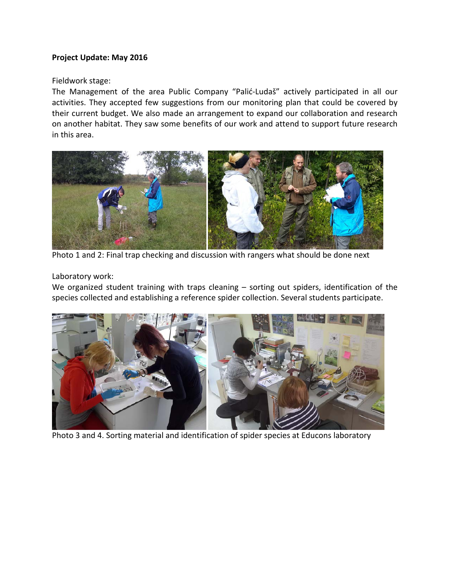## **Project Update: May 2016**

## Fieldwork stage:

The Management of the area Public Company "Palić-Ludaš" actively participated in all our activities. They accepted few suggestions from our monitoring plan that could be covered by their current budget. We also made an arrangement to expand our collaboration and research on another habitat. They saw some benefits of our work and attend to support future research in this area.



Photo 1 and 2: Final trap checking and discussion with rangers what should be done next

## Laboratory work:

We organized student training with traps cleaning – sorting out spiders, identification of the species collected and establishing a reference spider collection. Several students participate.



Photo 3 and 4. Sorting material and identification of spider species at Educons laboratory